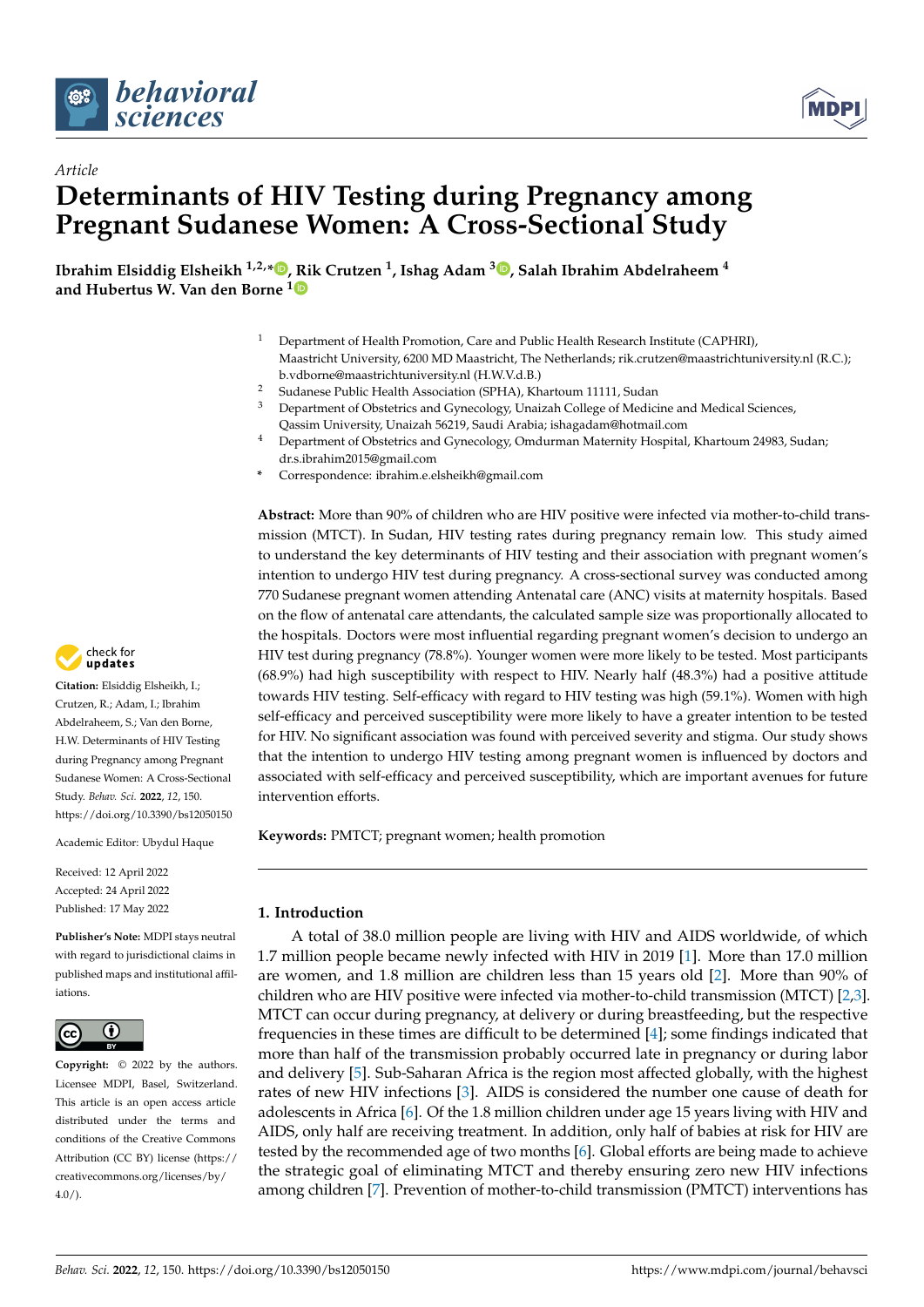



# *Article* **Determinants of HIV Testing during Pregnancy among Pregnant Sudanese Women: A Cross-Sectional Study**

**Ibrahim Elsiddig Elsheikh 1,2,\* [,](https://orcid.org/0000-0002-2430-7387) Rik Crutzen <sup>1</sup> , Ishag Adam <sup>3</sup> [,](https://orcid.org/0000-0001-5031-7741) Salah Ibrahim Abdelraheem <sup>4</sup> and Hubertus W. Van den Borne [1](https://orcid.org/0000-0001-9949-4386)**

- <sup>1</sup> Department of Health Promotion, Care and Public Health Research Institute (CAPHRI), Maastricht University, 6200 MD Maastricht, The Netherlands; rik.crutzen@maastrichtuniversity.nl (R.C.); b.vdborne@maastrichtuniversity.nl (H.W.V.d.B.)
- <sup>2</sup> Sudanese Public Health Association (SPHA), Khartoum 11111, Sudan<br><sup>3</sup> Department of Obstatises and Crusseleary Unaisab College of Media
- <sup>3</sup> Department of Obstetrics and Gynecology, Unaizah College of Medicine and Medical Sciences, Qassim University, Unaizah 56219, Saudi Arabia; ishagadam@hotmail.com
- <sup>4</sup> Department of Obstetrics and Gynecology, Omdurman Maternity Hospital, Khartoum 24983, Sudan; dr.s.ibrahim2015@gmail.com
- **\*** Correspondence: ibrahim.e.elsheikh@gmail.com

**Abstract:** More than 90% of children who are HIV positive were infected via mother-to-child transmission (MTCT). In Sudan, HIV testing rates during pregnancy remain low. This study aimed to understand the key determinants of HIV testing and their association with pregnant women's intention to undergo HIV test during pregnancy. A cross-sectional survey was conducted among 770 Sudanese pregnant women attending Antenatal care (ANC) visits at maternity hospitals. Based on the flow of antenatal care attendants, the calculated sample size was proportionally allocated to the hospitals. Doctors were most influential regarding pregnant women's decision to undergo an HIV test during pregnancy (78.8%). Younger women were more likely to be tested. Most participants (68.9%) had high susceptibility with respect to HIV. Nearly half (48.3%) had a positive attitude towards HIV testing. Self-efficacy with regard to HIV testing was high (59.1%). Women with high self-efficacy and perceived susceptibility were more likely to have a greater intention to be tested for HIV. No significant association was found with perceived severity and stigma. Our study shows that the intention to undergo HIV testing among pregnant women is influenced by doctors and associated with self-efficacy and perceived susceptibility, which are important avenues for future intervention efforts.

**Keywords:** PMTCT; pregnant women; health promotion

# **1. Introduction**

A total of 38.0 million people are living with HIV and AIDS worldwide, of which 1.7 million people became newly infected with HIV in 2019 [\[1\]](#page-7-0). More than 17.0 million are women, and 1.8 million are children less than 15 years old [\[2\]](#page-7-1). More than 90% of children who are HIV positive were infected via mother-to-child transmission (MTCT) [\[2](#page-7-1)[,3\]](#page-7-2). MTCT can occur during pregnancy, at delivery or during breastfeeding, but the respective frequencies in these times are difficult to be determined [\[4\]](#page-7-3); some findings indicated that more than half of the transmission probably occurred late in pregnancy or during labor and delivery [\[5\]](#page-8-0). Sub-Saharan Africa is the region most affected globally, with the highest rates of new HIV infections [\[3\]](#page-7-2). AIDS is considered the number one cause of death for adolescents in Africa [\[6\]](#page-8-1). Of the 1.8 million children under age 15 years living with HIV and AIDS, only half are receiving treatment. In addition, only half of babies at risk for HIV are tested by the recommended age of two months [\[6\]](#page-8-1). Global efforts are being made to achieve the strategic goal of eliminating MTCT and thereby ensuring zero new HIV infections among children [\[7\]](#page-8-2). Prevention of mother-to-child transmission (PMTCT) interventions has



**Citation:** Elsiddig Elsheikh, I.; Crutzen, R.; Adam, I.; Ibrahim Abdelraheem, S.; Van den Borne, H.W. Determinants of HIV Testing during Pregnancy among Pregnant Sudanese Women: A Cross-Sectional Study. *Behav. Sci.* **2022**, *12*, 150. <https://doi.org/10.3390/bs12050150>

Academic Editor: Ubydul Haque

Received: 12 April 2022 Accepted: 24 April 2022 Published: 17 May 2022

**Publisher's Note:** MDPI stays neutral with regard to jurisdictional claims in published maps and institutional affiliations.



**Copyright:** © 2022 by the authors. Licensee MDPI, Basel, Switzerland. This article is an open access article distributed under the terms and conditions of the Creative Commons Attribution (CC BY) license [\(https://](https://creativecommons.org/licenses/by/4.0/) [creativecommons.org/licenses/by/](https://creativecommons.org/licenses/by/4.0/)  $4.0/$ ).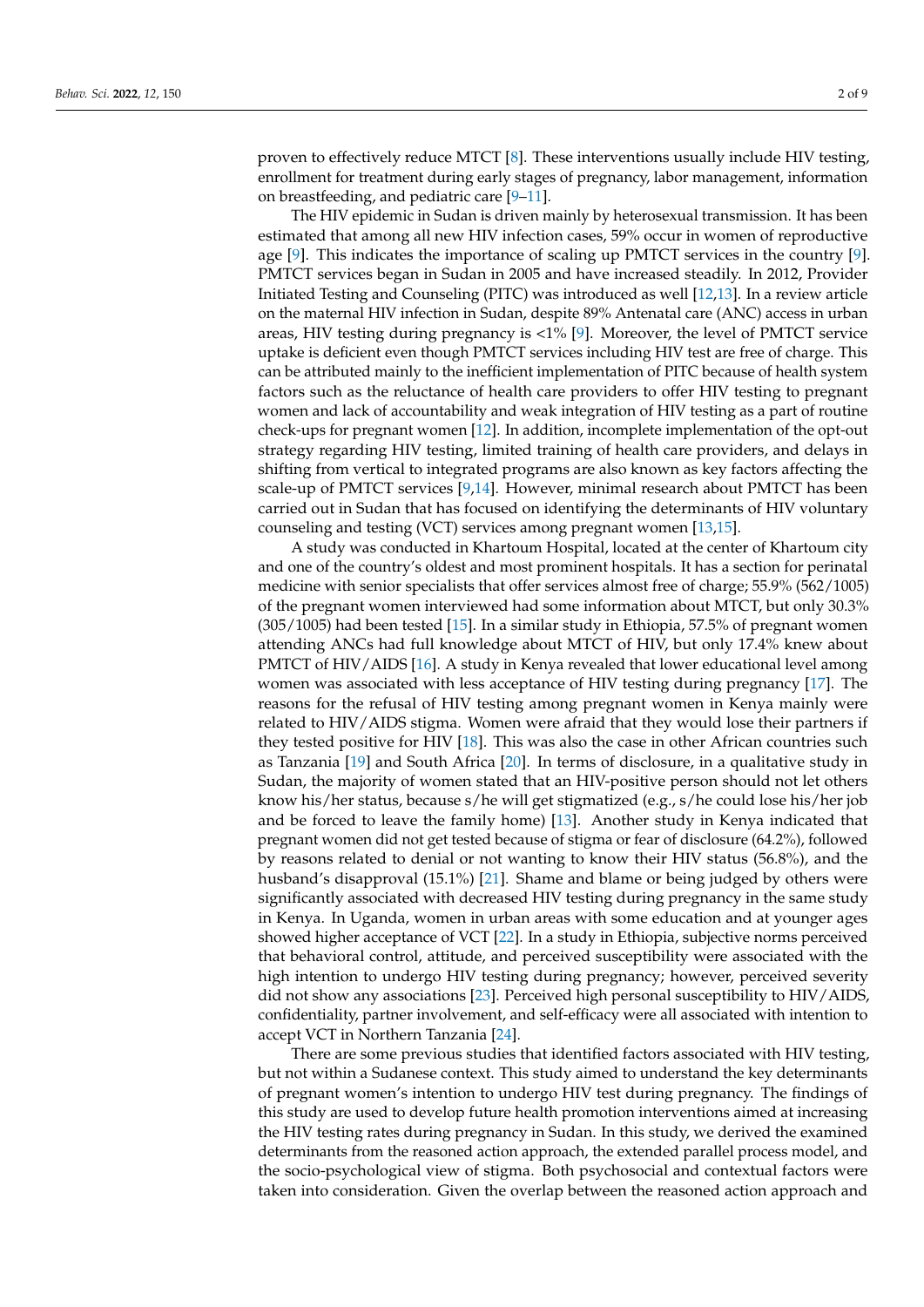proven to effectively reduce MTCT [\[8\]](#page-8-3). These interventions usually include HIV testing, enrollment for treatment during early stages of pregnancy, labor management, information on breastfeeding, and pediatric care [\[9–](#page-8-4)[11\]](#page-8-5).

The HIV epidemic in Sudan is driven mainly by heterosexual transmission. It has been estimated that among all new HIV infection cases, 59% occur in women of reproductive age [\[9\]](#page-8-4). This indicates the importance of scaling up PMTCT services in the country [\[9\]](#page-8-4). PMTCT services began in Sudan in 2005 and have increased steadily. In 2012, Provider Initiated Testing and Counseling (PITC) was introduced as well [\[12,](#page-8-6)[13\]](#page-8-7). In a review article on the maternal HIV infection in Sudan, despite 89% Antenatal care (ANC) access in urban areas, HIV testing during pregnancy is <1% [\[9\]](#page-8-4). Moreover, the level of PMTCT service uptake is deficient even though PMTCT services including HIV test are free of charge. This can be attributed mainly to the inefficient implementation of PITC because of health system factors such as the reluctance of health care providers to offer HIV testing to pregnant women and lack of accountability and weak integration of HIV testing as a part of routine check-ups for pregnant women [\[12\]](#page-8-6). In addition, incomplete implementation of the opt-out strategy regarding HIV testing, limited training of health care providers, and delays in shifting from vertical to integrated programs are also known as key factors affecting the scale-up of PMTCT services [\[9](#page-8-4)[,14\]](#page-8-8). However, minimal research about PMTCT has been carried out in Sudan that has focused on identifying the determinants of HIV voluntary counseling and testing (VCT) services among pregnant women [\[13](#page-8-7)[,15\]](#page-8-9).

A study was conducted in Khartoum Hospital, located at the center of Khartoum city and one of the country's oldest and most prominent hospitals. It has a section for perinatal medicine with senior specialists that offer services almost free of charge; 55.9% (562/1005) of the pregnant women interviewed had some information about MTCT, but only 30.3% (305/1005) had been tested [\[15\]](#page-8-9). In a similar study in Ethiopia, 57.5% of pregnant women attending ANCs had full knowledge about MTCT of HIV, but only 17.4% knew about PMTCT of HIV/AIDS [\[16\]](#page-8-10). A study in Kenya revealed that lower educational level among women was associated with less acceptance of HIV testing during pregnancy [\[17\]](#page-8-11). The reasons for the refusal of HIV testing among pregnant women in Kenya mainly were related to HIV/AIDS stigma. Women were afraid that they would lose their partners if they tested positive for HIV [\[18\]](#page-8-12). This was also the case in other African countries such as Tanzania [\[19\]](#page-8-13) and South Africa [\[20\]](#page-8-14). In terms of disclosure, in a qualitative study in Sudan, the majority of women stated that an HIV-positive person should not let others know his/her status, because s/he will get stigmatized (e.g., s/he could lose his/her job and be forced to leave the family home) [\[13\]](#page-8-7). Another study in Kenya indicated that pregnant women did not get tested because of stigma or fear of disclosure (64.2%), followed by reasons related to denial or not wanting to know their HIV status (56.8%), and the husband's disapproval (15.1%) [\[21\]](#page-8-15). Shame and blame or being judged by others were significantly associated with decreased HIV testing during pregnancy in the same study in Kenya. In Uganda, women in urban areas with some education and at younger ages showed higher acceptance of VCT [\[22\]](#page-8-16). In a study in Ethiopia, subjective norms perceived that behavioral control, attitude, and perceived susceptibility were associated with the high intention to undergo HIV testing during pregnancy; however, perceived severity did not show any associations [\[23\]](#page-8-17). Perceived high personal susceptibility to HIV/AIDS, confidentiality, partner involvement, and self-efficacy were all associated with intention to accept VCT in Northern Tanzania [\[24\]](#page-8-18).

There are some previous studies that identified factors associated with HIV testing, but not within a Sudanese context. This study aimed to understand the key determinants of pregnant women's intention to undergo HIV test during pregnancy. The findings of this study are used to develop future health promotion interventions aimed at increasing the HIV testing rates during pregnancy in Sudan. In this study, we derived the examined determinants from the reasoned action approach, the extended parallel process model, and the socio-psychological view of stigma. Both psychosocial and contextual factors were taken into consideration. Given the overlap between the reasoned action approach and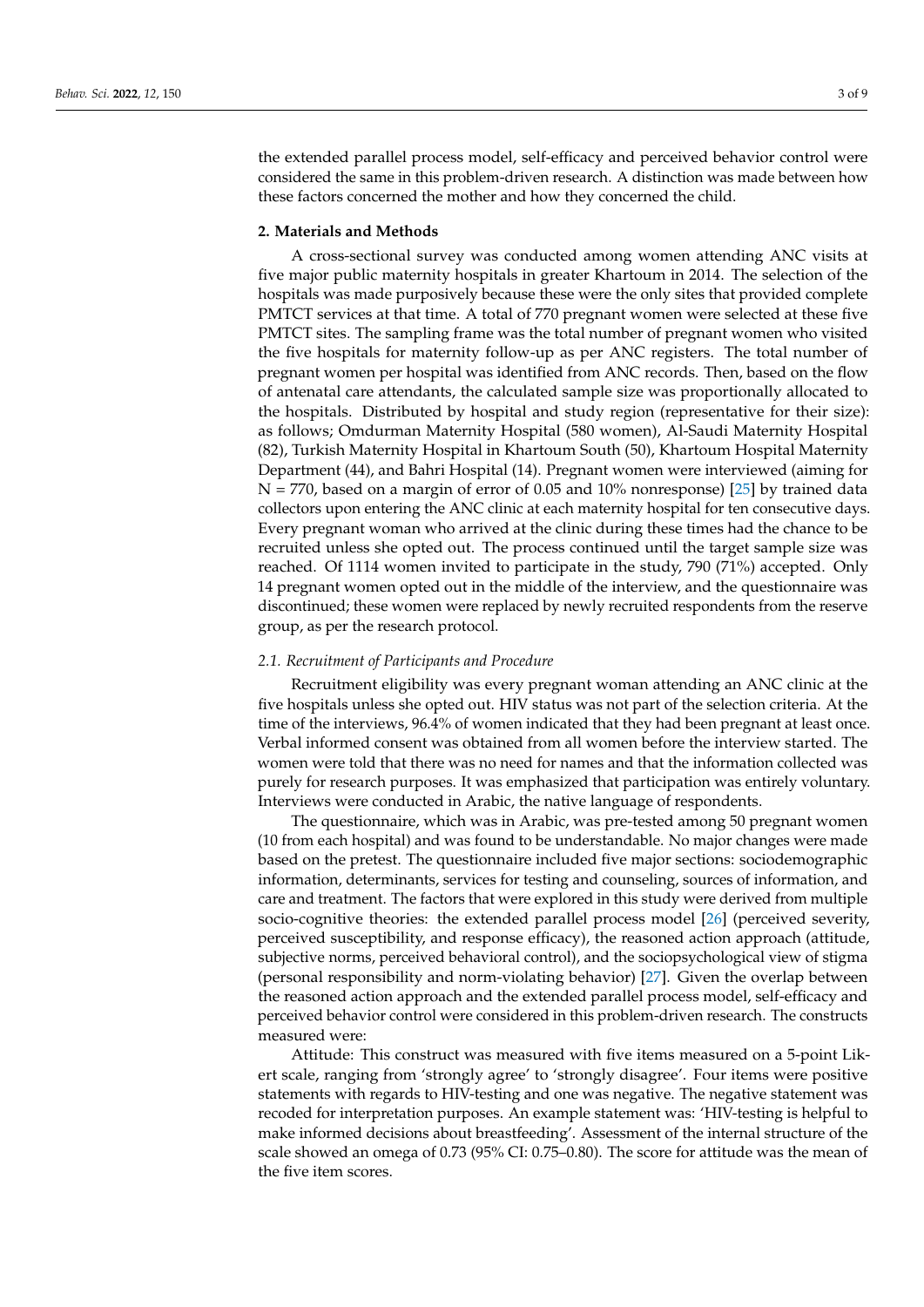the extended parallel process model, self-efficacy and perceived behavior control were considered the same in this problem-driven research. A distinction was made between how these factors concerned the mother and how they concerned the child.

## **2. Materials and Methods**

A cross-sectional survey was conducted among women attending ANC visits at five major public maternity hospitals in greater Khartoum in 2014. The selection of the hospitals was made purposively because these were the only sites that provided complete PMTCT services at that time. A total of 770 pregnant women were selected at these five PMTCT sites. The sampling frame was the total number of pregnant women who visited the five hospitals for maternity follow-up as per ANC registers. The total number of pregnant women per hospital was identified from ANC records. Then, based on the flow of antenatal care attendants, the calculated sample size was proportionally allocated to the hospitals. Distributed by hospital and study region (representative for their size): as follows; Omdurman Maternity Hospital (580 women), Al-Saudi Maternity Hospital (82), Turkish Maternity Hospital in Khartoum South (50), Khartoum Hospital Maternity Department (44), and Bahri Hospital (14). Pregnant women were interviewed (aiming for  $N = 770$ , based on a margin of error of 0.05 and 10% nonresponse) [\[25\]](#page-8-19) by trained data collectors upon entering the ANC clinic at each maternity hospital for ten consecutive days. Every pregnant woman who arrived at the clinic during these times had the chance to be recruited unless she opted out. The process continued until the target sample size was reached. Of 1114 women invited to participate in the study, 790 (71%) accepted. Only 14 pregnant women opted out in the middle of the interview, and the questionnaire was discontinued; these women were replaced by newly recruited respondents from the reserve group, as per the research protocol.

### *2.1. Recruitment of Participants and Procedure*

Recruitment eligibility was every pregnant woman attending an ANC clinic at the five hospitals unless she opted out. HIV status was not part of the selection criteria. At the time of the interviews, 96.4% of women indicated that they had been pregnant at least once. Verbal informed consent was obtained from all women before the interview started. The women were told that there was no need for names and that the information collected was purely for research purposes. It was emphasized that participation was entirely voluntary. Interviews were conducted in Arabic, the native language of respondents.

The questionnaire, which was in Arabic, was pre-tested among 50 pregnant women (10 from each hospital) and was found to be understandable. No major changes were made based on the pretest. The questionnaire included five major sections: sociodemographic information, determinants, services for testing and counseling, sources of information, and care and treatment. The factors that were explored in this study were derived from multiple socio-cognitive theories: the extended parallel process model [\[26\]](#page-8-20) (perceived severity, perceived susceptibility, and response efficacy), the reasoned action approach (attitude, subjective norms, perceived behavioral control), and the sociopsychological view of stigma (personal responsibility and norm-violating behavior) [\[27\]](#page-8-21). Given the overlap between the reasoned action approach and the extended parallel process model, self-efficacy and perceived behavior control were considered in this problem-driven research. The constructs measured were:

Attitude: This construct was measured with five items measured on a 5-point Likert scale, ranging from 'strongly agree' to 'strongly disagree'. Four items were positive statements with regards to HIV-testing and one was negative. The negative statement was recoded for interpretation purposes. An example statement was: 'HIV-testing is helpful to make informed decisions about breastfeeding'. Assessment of the internal structure of the scale showed an omega of 0.73 (95% CI: 0.75–0.80). The score for attitude was the mean of the five item scores.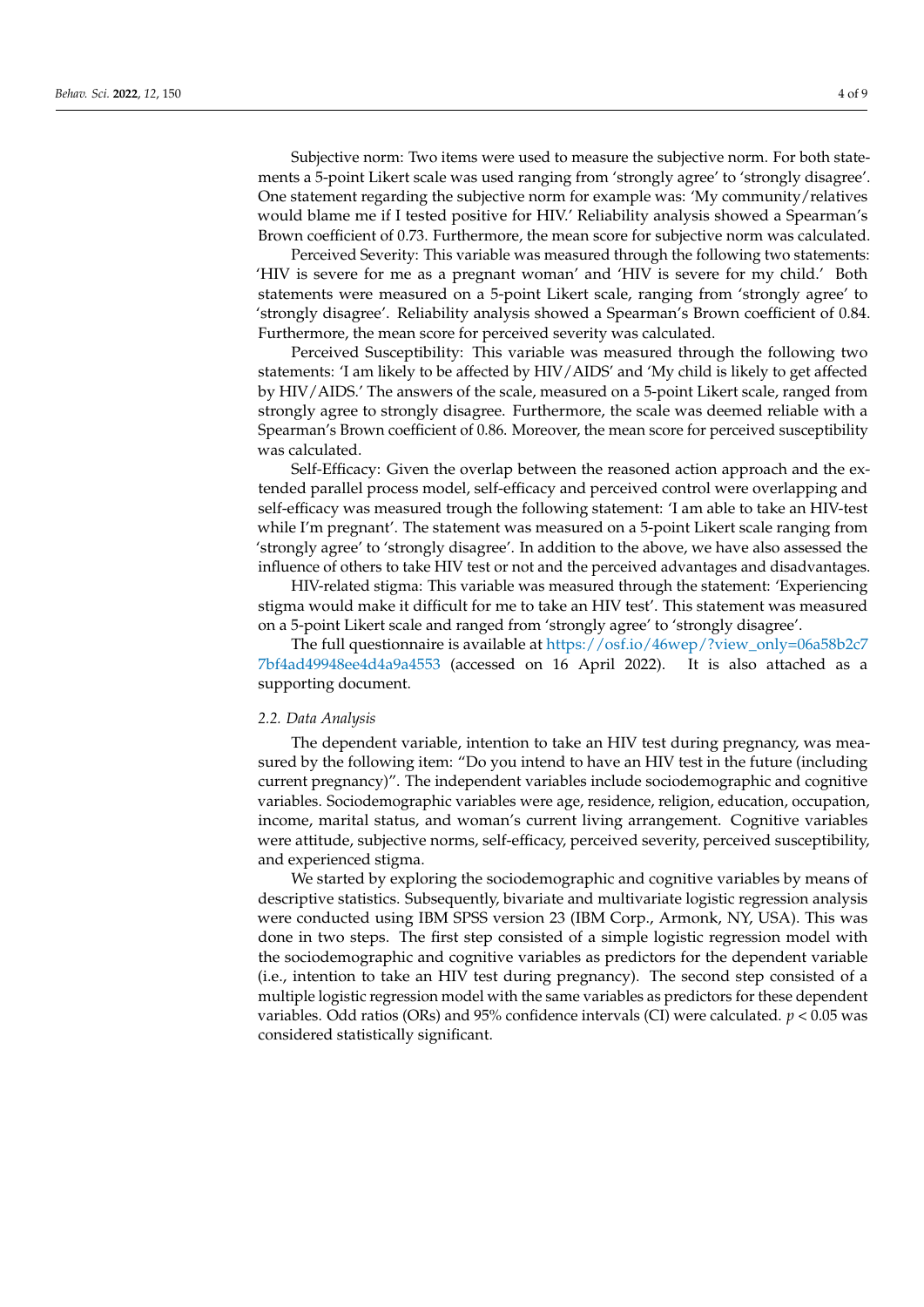Subjective norm: Two items were used to measure the subjective norm. For both statements a 5-point Likert scale was used ranging from 'strongly agree' to 'strongly disagree'. One statement regarding the subjective norm for example was: 'My community/relatives would blame me if I tested positive for HIV.' Reliability analysis showed a Spearman's Brown coefficient of 0.73. Furthermore, the mean score for subjective norm was calculated.

Perceived Severity: This variable was measured through the following two statements: 'HIV is severe for me as a pregnant woman' and 'HIV is severe for my child.' Both statements were measured on a 5-point Likert scale, ranging from 'strongly agree' to 'strongly disagree'. Reliability analysis showed a Spearman's Brown coefficient of 0.84. Furthermore, the mean score for perceived severity was calculated.

Perceived Susceptibility: This variable was measured through the following two statements: 'I am likely to be affected by HIV/AIDS' and 'My child is likely to get affected by HIV/AIDS.' The answers of the scale, measured on a 5-point Likert scale, ranged from strongly agree to strongly disagree. Furthermore, the scale was deemed reliable with a Spearman's Brown coefficient of 0.86. Moreover, the mean score for perceived susceptibility was calculated.

Self-Efficacy: Given the overlap between the reasoned action approach and the extended parallel process model, self-efficacy and perceived control were overlapping and self-efficacy was measured trough the following statement: 'I am able to take an HIV-test while I'm pregnant'. The statement was measured on a 5-point Likert scale ranging from 'strongly agree' to 'strongly disagree'. In addition to the above, we have also assessed the influence of others to take HIV test or not and the perceived advantages and disadvantages.

HIV-related stigma: This variable was measured through the statement: 'Experiencing stigma would make it difficult for me to take an HIV test'. This statement was measured on a 5-point Likert scale and ranged from 'strongly agree' to 'strongly disagree'.

The full questionnaire is available at [https://osf.io/46wep/?view\\_only=06a58b2c7](https://osf.io/46wep/?view_only=06a58b2c77bf4ad49948ee4d4a9a4553) [7bf4ad49948ee4d4a9a4553](https://osf.io/46wep/?view_only=06a58b2c77bf4ad49948ee4d4a9a4553) (accessed on 16 April 2022). It is also attached as a supporting document.

## *2.2. Data Analysis*

The dependent variable, intention to take an HIV test during pregnancy, was measured by the following item: "Do you intend to have an HIV test in the future (including current pregnancy)". The independent variables include sociodemographic and cognitive variables. Sociodemographic variables were age, residence, religion, education, occupation, income, marital status, and woman's current living arrangement. Cognitive variables were attitude, subjective norms, self-efficacy, perceived severity, perceived susceptibility, and experienced stigma.

We started by exploring the sociodemographic and cognitive variables by means of descriptive statistics. Subsequently, bivariate and multivariate logistic regression analysis were conducted using IBM SPSS version 23 (IBM Corp., Armonk, NY, USA). This was done in two steps. The first step consisted of a simple logistic regression model with the sociodemographic and cognitive variables as predictors for the dependent variable (i.e., intention to take an HIV test during pregnancy). The second step consisted of a multiple logistic regression model with the same variables as predictors for these dependent variables. Odd ratios (ORs) and 95% confidence intervals (CI) were calculated. *p* < 0.05 was considered statistically significant.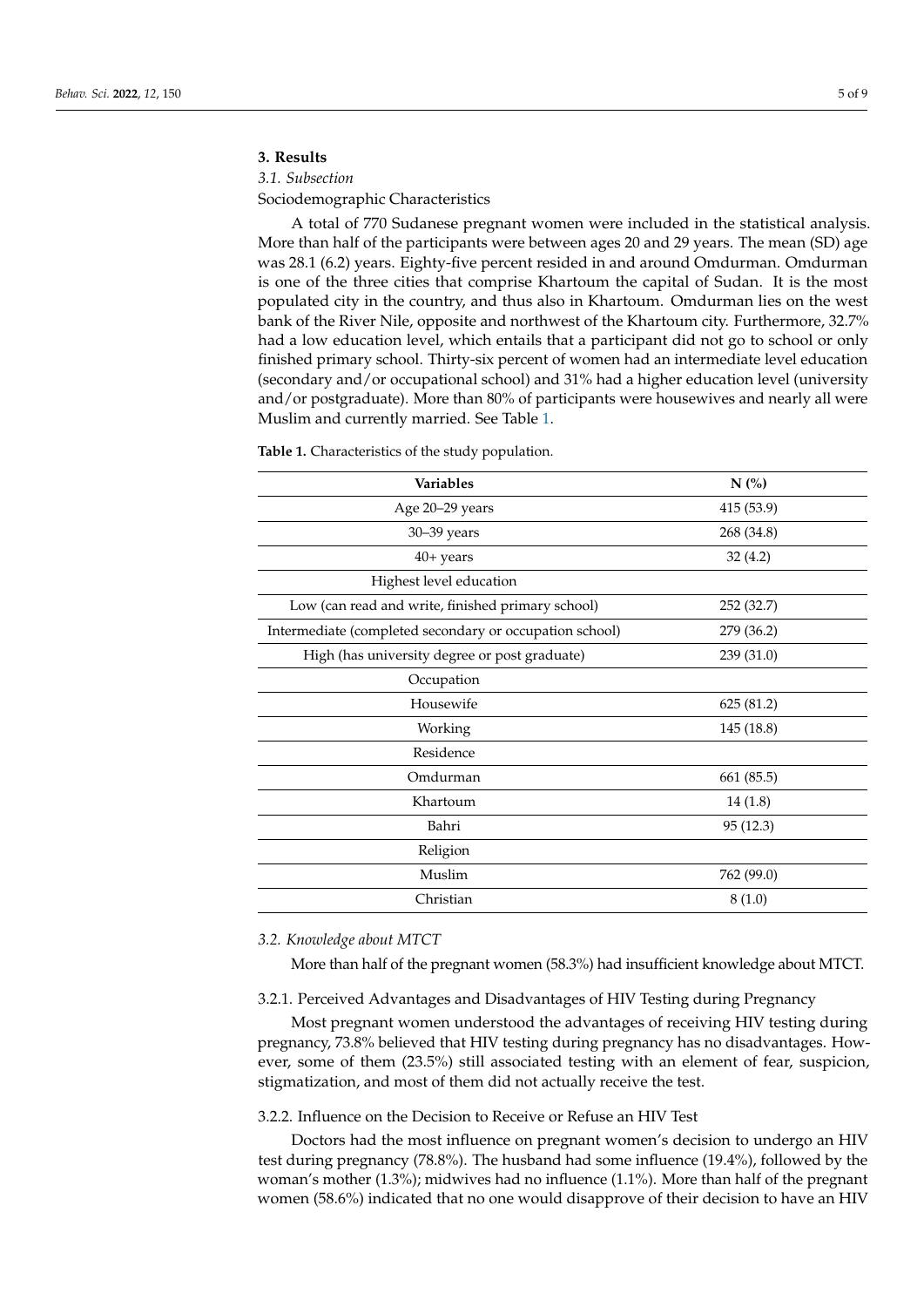# **3. Results**

*3.1. Subsection*

Sociodemographic Characteristics

A total of 770 Sudanese pregnant women were included in the statistical analysis. More than half of the participants were between ages 20 and 29 years. The mean (SD) age was 28.1 (6.2) years. Eighty-five percent resided in and around Omdurman. Omdurman is one of the three cities that comprise Khartoum the capital of Sudan. It is the most populated city in the country, and thus also in Khartoum. Omdurman lies on the west bank of the River Nile, opposite and northwest of the Khartoum city. Furthermore, 32.7% had a low education level, which entails that a participant did not go to school or only finished primary school. Thirty-six percent of women had an intermediate level education (secondary and/or occupational school) and 31% had a higher education level (university and/or postgraduate). More than 80% of participants were housewives and nearly all were Muslim and currently married. See Table [1.](#page-4-0)

| <b>Variables</b>                                        | $N$ (%)    |
|---------------------------------------------------------|------------|
| Age 20-29 years                                         | 415 (53.9) |
| 30-39 years                                             | 268 (34.8) |
| 40+ years                                               | 32(4.2)    |
| Highest level education                                 |            |
| Low (can read and write, finished primary school)       | 252 (32.7) |
| Intermediate (completed secondary or occupation school) | 279 (36.2) |
| High (has university degree or post graduate)           | 239(31.0)  |
| Occupation                                              |            |
| Housewife                                               | 625 (81.2) |
| Working                                                 | 145(18.8)  |
| Residence                                               |            |
| Omdurman                                                | 661 (85.5) |
| Khartoum                                                | 14(1.8)    |
| Bahri                                                   | 95 (12.3)  |
| Religion                                                |            |
| Muslim                                                  | 762 (99.0) |
| Christian                                               | 8(1.0)     |

<span id="page-4-0"></span>**Table 1.** Characteristics of the study population.

*3.2. Knowledge about MTCT*

More than half of the pregnant women (58.3%) had insufficient knowledge about MTCT.

3.2.1. Perceived Advantages and Disadvantages of HIV Testing during Pregnancy

Most pregnant women understood the advantages of receiving HIV testing during pregnancy, 73.8% believed that HIV testing during pregnancy has no disadvantages. However, some of them (23.5%) still associated testing with an element of fear, suspicion, stigmatization, and most of them did not actually receive the test.

3.2.2. Influence on the Decision to Receive or Refuse an HIV Test

Doctors had the most influence on pregnant women's decision to undergo an HIV test during pregnancy (78.8%). The husband had some influence (19.4%), followed by the woman's mother (1.3%); midwives had no influence (1.1%). More than half of the pregnant women (58.6%) indicated that no one would disapprove of their decision to have an HIV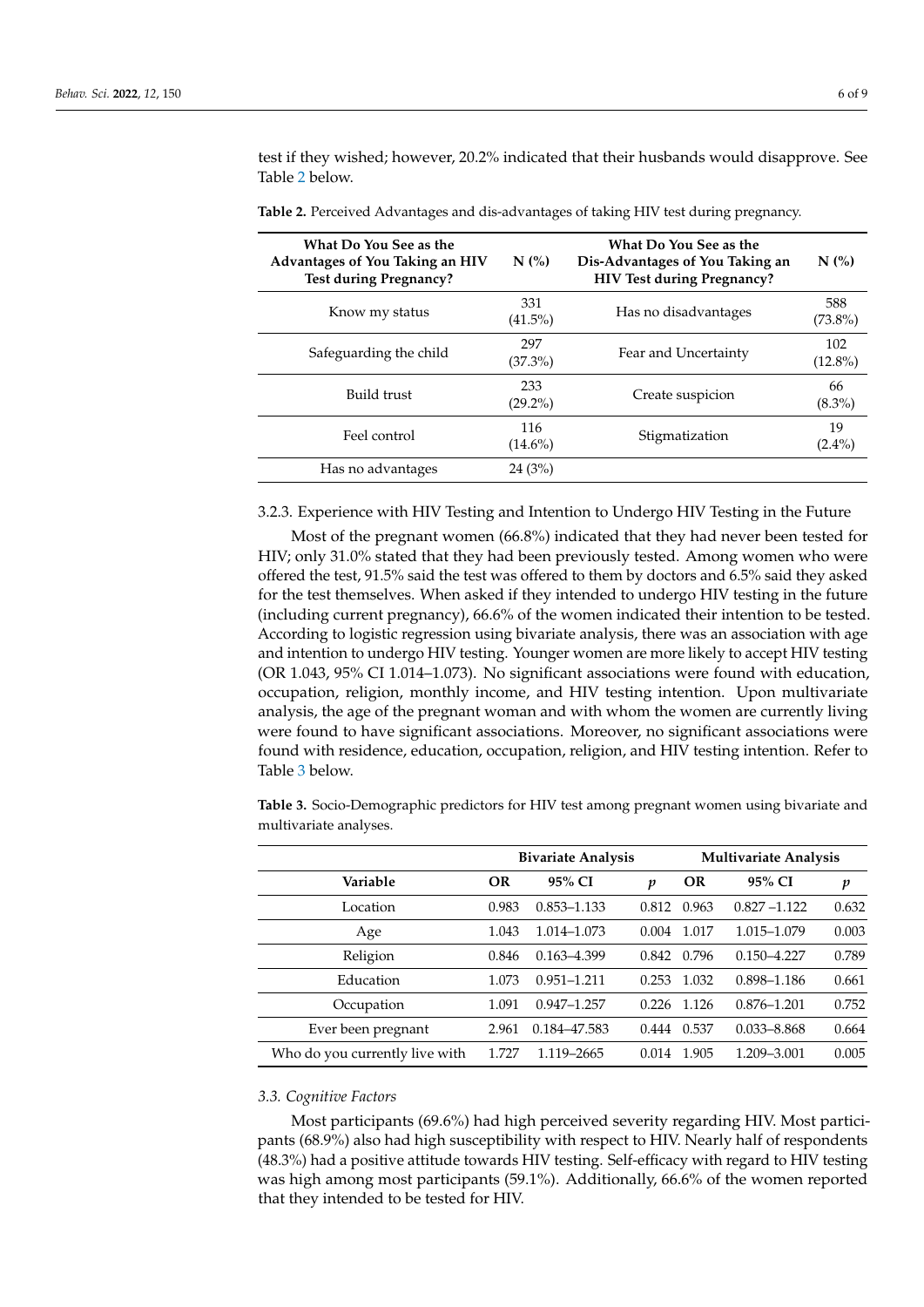test if they wished; however, 20.2% indicated that their husbands would disapprove. See Table [2](#page-5-0) below.

| What Do You See as the<br>Advantages of You Taking an HIV<br><b>Test during Pregnancy?</b> | N(%)              | What Do You See as the<br>Dis-Advantages of You Taking an<br>HIV Test during Pregnancy? | N(%)              |
|--------------------------------------------------------------------------------------------|-------------------|-----------------------------------------------------------------------------------------|-------------------|
| Know my status                                                                             | 331<br>$(41.5\%)$ | Has no disadvantages                                                                    | 588<br>$(73.8\%)$ |
| Safeguarding the child                                                                     | 297<br>$(37.3\%)$ | Fear and Uncertainty                                                                    | 102<br>$(12.8\%)$ |
| Build trust                                                                                | 233<br>$(29.2\%)$ | Create suspicion                                                                        | 66<br>$(8.3\%)$   |
| Feel control                                                                               | 116<br>$(14.6\%)$ | Stigmatization                                                                          | 19<br>$(2.4\%)$   |
| Has no advantages                                                                          | 24(3%)            |                                                                                         |                   |

<span id="page-5-0"></span>**Table 2.** Perceived Advantages and dis-advantages of taking HIV test during pregnancy.

3.2.3. Experience with HIV Testing and Intention to Undergo HIV Testing in the Future

Most of the pregnant women (66.8%) indicated that they had never been tested for HIV; only 31.0% stated that they had been previously tested. Among women who were offered the test, 91.5% said the test was offered to them by doctors and 6.5% said they asked for the test themselves. When asked if they intended to undergo HIV testing in the future (including current pregnancy), 66.6% of the women indicated their intention to be tested. According to logistic regression using bivariate analysis, there was an association with age and intention to undergo HIV testing. Younger women are more likely to accept HIV testing (OR 1.043, 95% CI 1.014–1.073). No significant associations were found with education, occupation, religion, monthly income, and HIV testing intention. Upon multivariate analysis, the age of the pregnant woman and with whom the women are currently living were found to have significant associations. Moreover, no significant associations were found with residence, education, occupation, religion, and HIV testing intention. Refer to Table [3](#page-5-1) below.

<span id="page-5-1"></span>**Table 3.** Socio-Demographic predictors for HIV test among pregnant women using bivariate and multivariate analyses.

|                                | <b>Bivariate Analysis</b> |                 |       | <b>Multivariate Analysis</b> |                 |                  |
|--------------------------------|---------------------------|-----------------|-------|------------------------------|-----------------|------------------|
| Variable                       | OR                        | 95% CI          | p     | OR                           | 95% CI          | $\boldsymbol{p}$ |
| Location                       | 0.983                     | $0.853 - 1.133$ | 0.812 | 0.963                        | $0.827 - 1.122$ | 0.632            |
| Age                            | 1.043                     | 1.014-1.073     | 0.004 | 1.017                        | 1.015-1.079     | 0.003            |
| Religion                       | 0.846                     | 0.163-4.399     | 0.842 | 0.796                        | $0.150 - 4.227$ | 0.789            |
| Education                      | 1.073                     | $0.951 - 1.211$ | 0.253 | 1.032                        | 0.898-1.186     | 0.661            |
| Occupation                     | 1.091                     | $0.947 - 1.257$ | 0.226 | 1.126                        | $0.876 - 1.201$ | 0.752            |
| Ever been pregnant             | 2.961                     | 0.184-47.583    | 0.444 | 0.537                        | $0.033 - 8.868$ | 0.664            |
| Who do you currently live with | 1.727                     | 1.119-2665      | 0.014 | 1.905                        | 1.209-3.001     | 0.005            |

### *3.3. Cognitive Factors*

Most participants (69.6%) had high perceived severity regarding HIV. Most participants (68.9%) also had high susceptibility with respect to HIV. Nearly half of respondents (48.3%) had a positive attitude towards HIV testing. Self-efficacy with regard to HIV testing was high among most participants (59.1%). Additionally, 66.6% of the women reported that they intended to be tested for HIV.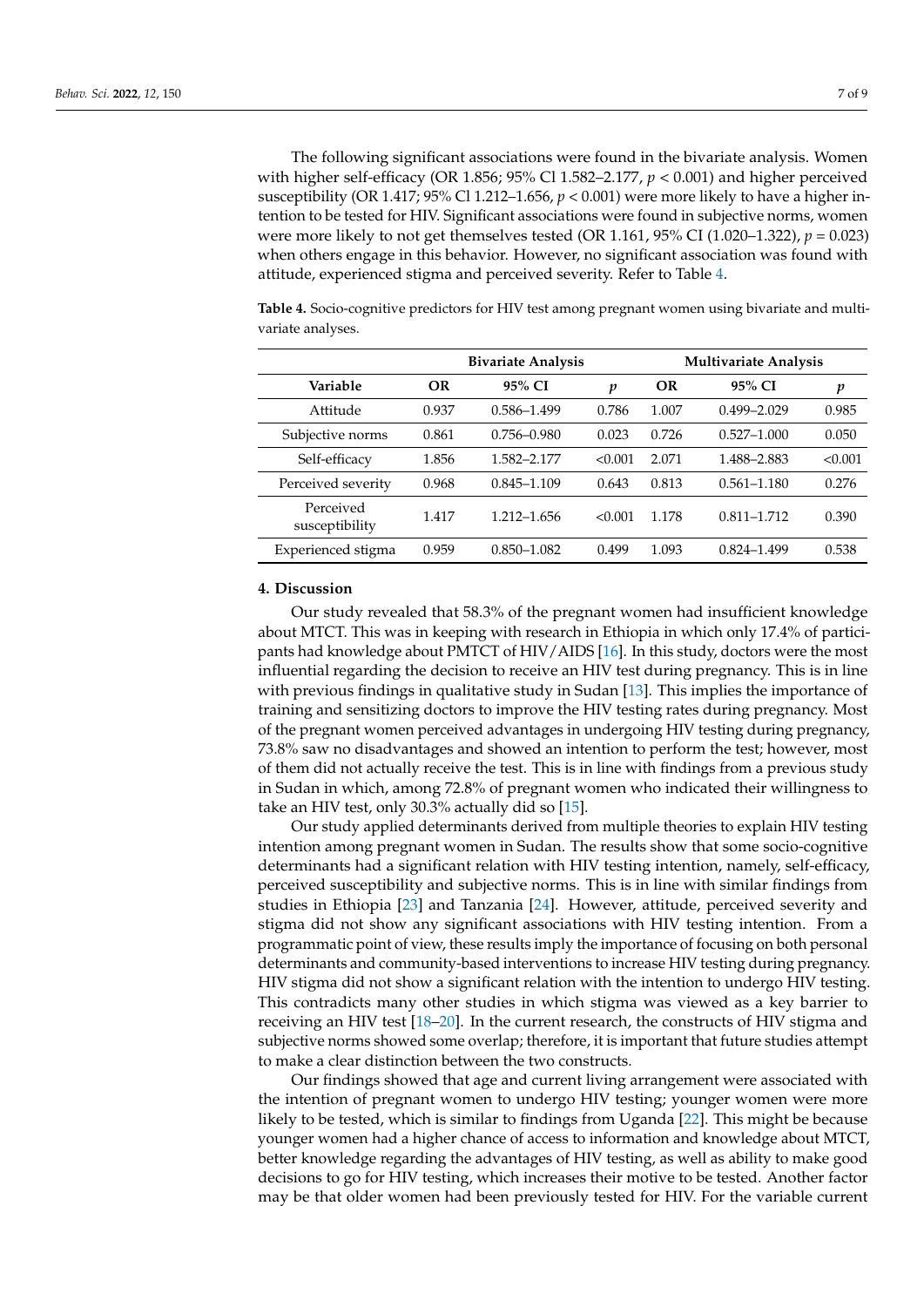The following significant associations were found in the bivariate analysis. Women with higher self-efficacy (OR 1.856; 95% Cl 1.582–2.177, *p* < 0.001) and higher perceived susceptibility (OR 1.417; 95% Cl 1.212–1.656, *p* < 0.001) were more likely to have a higher intention to be tested for HIV. Significant associations were found in subjective norms, women were more likely to not get themselves tested (OR 1.161, 95% CI  $(1.020-1.322)$ ,  $p = 0.023$ ) when others engage in this behavior. However, no significant association was found with attitude, experienced stigma and perceived severity. Refer to Table [4.](#page-6-0)

|                             |       | <b>Bivariate Analysis</b> |         |           | <b>Multivariate Analysis</b> |         |
|-----------------------------|-------|---------------------------|---------|-----------|------------------------------|---------|
| Variable                    | OR    | 95% CI                    | v       | <b>OR</b> | 95% CI                       | p       |
| Attitude                    | 0.937 | 0.586-1.499               | 0.786   | 1.007     | $0.499 - 2.029$              | 0.985   |
| Subjective norms            | 0.861 | $0.756 - 0.980$           | 0.023   | 0.726     | $0.527 - 1.000$              | 0.050   |
| Self-efficacy               | 1.856 | 1.582-2.177               | < 0.001 | 2.071     | 1.488-2.883                  | < 0.001 |
| Perceived severity          | 0.968 | $0.845 - 1.109$           | 0.643   | 0.813     | $0.561 - 1.180$              | 0.276   |
| Perceived<br>susceptibility | 1.417 | 1.212-1.656               | < 0.001 | 1.178     | $0.811 - 1.712$              | 0.390   |
| Experienced stigma          | 0.959 | $0.850 - 1.082$           | 0.499   | 1.093     | $0.824 - 1.499$              | 0.538   |

<span id="page-6-0"></span>**Table 4.** Socio-cognitive predictors for HIV test among pregnant women using bivariate and multivariate analyses.

### **4. Discussion**

Our study revealed that 58.3% of the pregnant women had insufficient knowledge about MTCT. This was in keeping with research in Ethiopia in which only 17.4% of participants had knowledge about PMTCT of HIV/AIDS [\[16\]](#page-8-10). In this study, doctors were the most influential regarding the decision to receive an HIV test during pregnancy. This is in line with previous findings in qualitative study in Sudan [\[13\]](#page-8-7). This implies the importance of training and sensitizing doctors to improve the HIV testing rates during pregnancy. Most of the pregnant women perceived advantages in undergoing HIV testing during pregnancy, 73.8% saw no disadvantages and showed an intention to perform the test; however, most of them did not actually receive the test. This is in line with findings from a previous study in Sudan in which, among 72.8% of pregnant women who indicated their willingness to take an HIV test, only 30.3% actually did so [\[15\]](#page-8-9).

Our study applied determinants derived from multiple theories to explain HIV testing intention among pregnant women in Sudan. The results show that some socio-cognitive determinants had a significant relation with HIV testing intention, namely, self-efficacy, perceived susceptibility and subjective norms. This is in line with similar findings from studies in Ethiopia [\[23\]](#page-8-17) and Tanzania [\[24\]](#page-8-18). However, attitude, perceived severity and stigma did not show any significant associations with HIV testing intention. From a programmatic point of view, these results imply the importance of focusing on both personal determinants and community-based interventions to increase HIV testing during pregnancy. HIV stigma did not show a significant relation with the intention to undergo HIV testing. This contradicts many other studies in which stigma was viewed as a key barrier to receiving an HIV test [\[18](#page-8-12)[–20\]](#page-8-14). In the current research, the constructs of HIV stigma and subjective norms showed some overlap; therefore, it is important that future studies attempt to make a clear distinction between the two constructs.

Our findings showed that age and current living arrangement were associated with the intention of pregnant women to undergo HIV testing; younger women were more likely to be tested, which is similar to findings from Uganda [\[22\]](#page-8-16). This might be because younger women had a higher chance of access to information and knowledge about MTCT, better knowledge regarding the advantages of HIV testing, as well as ability to make good decisions to go for HIV testing, which increases their motive to be tested. Another factor may be that older women had been previously tested for HIV. For the variable current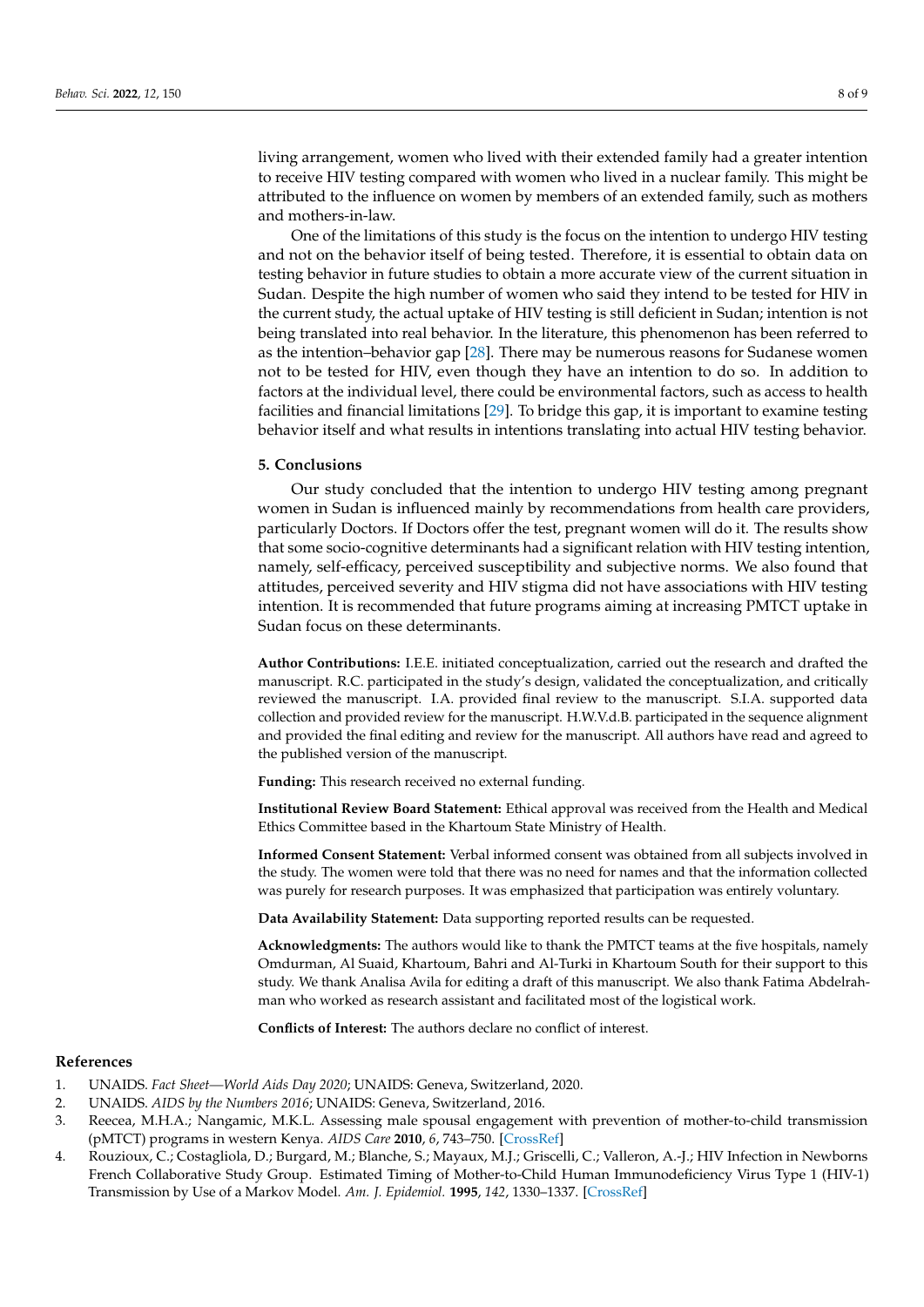living arrangement, women who lived with their extended family had a greater intention to receive HIV testing compared with women who lived in a nuclear family. This might be attributed to the influence on women by members of an extended family, such as mothers and mothers-in-law.

One of the limitations of this study is the focus on the intention to undergo HIV testing and not on the behavior itself of being tested. Therefore, it is essential to obtain data on testing behavior in future studies to obtain a more accurate view of the current situation in Sudan. Despite the high number of women who said they intend to be tested for HIV in the current study, the actual uptake of HIV testing is still deficient in Sudan; intention is not being translated into real behavior. In the literature, this phenomenon has been referred to as the intention–behavior gap [\[28\]](#page-8-22). There may be numerous reasons for Sudanese women not to be tested for HIV, even though they have an intention to do so. In addition to factors at the individual level, there could be environmental factors, such as access to health facilities and financial limitations [\[29\]](#page-8-23). To bridge this gap, it is important to examine testing behavior itself and what results in intentions translating into actual HIV testing behavior.

## **5. Conclusions**

Our study concluded that the intention to undergo HIV testing among pregnant women in Sudan is influenced mainly by recommendations from health care providers, particularly Doctors. If Doctors offer the test, pregnant women will do it. The results show that some socio-cognitive determinants had a significant relation with HIV testing intention, namely, self-efficacy, perceived susceptibility and subjective norms. We also found that attitudes, perceived severity and HIV stigma did not have associations with HIV testing intention. It is recommended that future programs aiming at increasing PMTCT uptake in Sudan focus on these determinants.

**Author Contributions:** I.E.E. initiated conceptualization, carried out the research and drafted the manuscript. R.C. participated in the study's design, validated the conceptualization, and critically reviewed the manuscript. I.A. provided final review to the manuscript. S.I.A. supported data collection and provided review for the manuscript. H.W.V.d.B. participated in the sequence alignment and provided the final editing and review for the manuscript. All authors have read and agreed to the published version of the manuscript.

**Funding:** This research received no external funding.

**Institutional Review Board Statement:** Ethical approval was received from the Health and Medical Ethics Committee based in the Khartoum State Ministry of Health.

**Informed Consent Statement:** Verbal informed consent was obtained from all subjects involved in the study. The women were told that there was no need for names and that the information collected was purely for research purposes. It was emphasized that participation was entirely voluntary.

**Data Availability Statement:** Data supporting reported results can be requested.

**Acknowledgments:** The authors would like to thank the PMTCT teams at the five hospitals, namely Omdurman, Al Suaid, Khartoum, Bahri and Al-Turki in Khartoum South for their support to this study. We thank Analisa Avila for editing a draft of this manuscript. We also thank Fatima Abdelrahman who worked as research assistant and facilitated most of the logistical work.

**Conflicts of Interest:** The authors declare no conflict of interest.

# **References**

- <span id="page-7-0"></span>1. UNAIDS. *Fact Sheet—World Aids Day 2020*; UNAIDS: Geneva, Switzerland, 2020.
- <span id="page-7-1"></span>2. UNAIDS. *AIDS by the Numbers 2016*; UNAIDS: Geneva, Switzerland, 2016.
- <span id="page-7-2"></span>3. Reecea, M.H.A.; Nangamic, M.K.L. Assessing male spousal engagement with prevention of mother-to-child transmission (pMTCT) programs in western Kenya. *AIDS Care* **2010**, *6*, 743–750. [\[CrossRef\]](http://doi.org/10.1080/09540120903431330)
- <span id="page-7-3"></span>4. Rouzioux, C.; Costagliola, D.; Burgard, M.; Blanche, S.; Mayaux, M.J.; Griscelli, C.; Valleron, A.-J.; HIV Infection in Newborns French Collaborative Study Group. Estimated Timing of Mother-to-Child Human Immunodeficiency Virus Type 1 (HIV-1) Transmission by Use of a Markov Model. *Am. J. Epidemiol.* **1995**, *142*, 1330–1337. [\[CrossRef\]](http://doi.org/10.1093/oxfordjournals.aje.a117601)